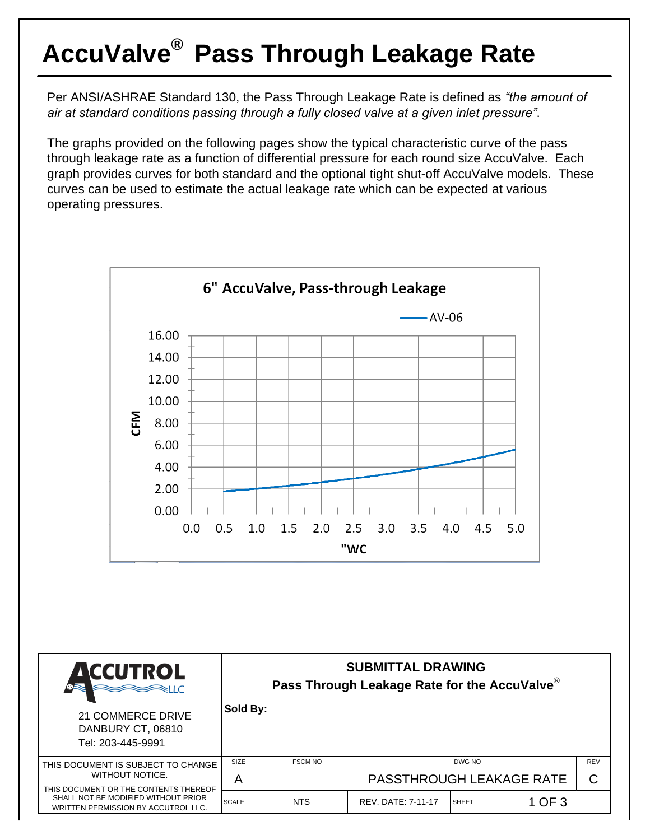## **AccuValve® Pass Through Leakage Rate**

Per ANSI/ASHRAE Standard 130, the Pass Through Leakage Rate is defined as *"the amount of air at standard conditions passing through a fully closed valve at a given inlet pressure"*.

The graphs provided on the following pages show the typical characteristic curve of the pass through leakage rate as a function of differential pressure for each round size AccuValve. Each graph provides curves for both standard and the optional tight shut-off AccuValve models. These curves can be used to estimate the actual leakage rate which can be expected at various operating pressures.



SCALE NTS | REV. DATE: 7-11-17 SHEET  $10F3$ 

SHALL NOT BE MODIFIED WITHOUT PRIOR WRITTEN PERMISSION BY ACCUTROL LLC.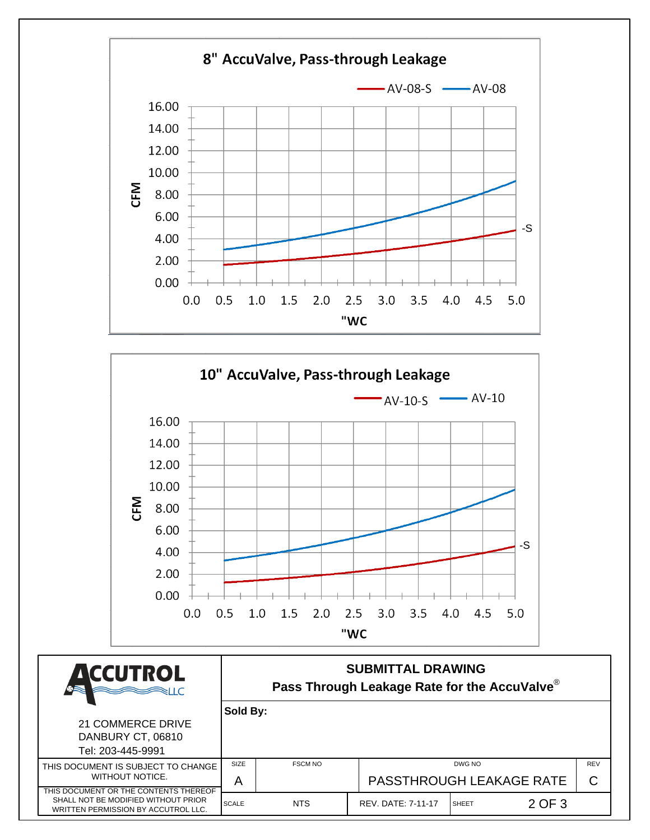



| <b>ACCUTROL</b>                                                                                | <b>SUBMITTAL DRAWING</b><br>Pass Through Leakage Rate for the AccuValve® |                                 |                           |              |        |            |  |  |  |
|------------------------------------------------------------------------------------------------|--------------------------------------------------------------------------|---------------------------------|---------------------------|--------------|--------|------------|--|--|--|
|                                                                                                | Sold By:                                                                 |                                 |                           |              |        |            |  |  |  |
| 21 COMMERCE DRIVE<br>DANBURY CT, 06810<br>Tel: 203-445-9991                                    |                                                                          |                                 |                           |              |        |            |  |  |  |
| THIS DOCUMENT IS SUBJECT TO CHANGE<br>WITHOUT NOTICE.<br>THIS DOCUMENT OR THE CONTENTS THEREOF | <b>SIZE</b><br><b>FSCM NO</b>                                            |                                 | DWG NO                    |              |        | <b>REV</b> |  |  |  |
|                                                                                                | A                                                                        | <b>PASSTHROUGH LEAKAGE RATE</b> |                           |              |        | C          |  |  |  |
| SHALL NOT BE MODIFIED WITHOUT PRIOR<br>WRITTEN PERMISSION BY ACCUTROL LLC.                     | <b>SCALE</b>                                                             | <b>NTS</b>                      | <b>REV. DATE: 7-11-17</b> | <b>SHEET</b> | 2 OF 3 |            |  |  |  |